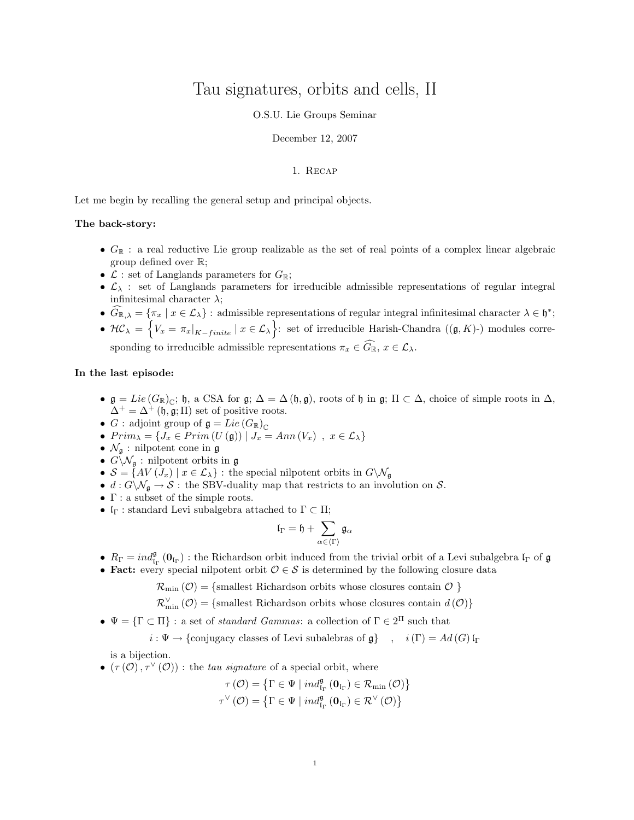# Tau signatures, orbits and cells, II

## O.S.U. Lie Groups Seminar

#### December 12, 2007

# 1. Recap

Let me begin by recalling the general setup and principal objects.

# The back-story:

- $G_{\mathbb{R}}$ : a real reductive Lie group realizable as the set of real points of a complex linear algebraic group defined over R;
- $\mathcal{L}$  : set of Langlands parameters for  $G_{\mathbb{R}}$ ;
- $\mathcal{L}_{\lambda}$ : set of Langlands parameters for irreducible admissible representations of regular integral infinitesimal character  $\lambda$ ;
- $\widehat{G}_{\mathbb{R},\lambda} = \{\pi_x \mid x \in \mathcal{L}_\lambda\}$ : admissible representations of regular integral infinitesimal character  $\lambda \in \mathfrak{h}^*$ ;

•  $\mathcal{HC}_\lambda = \left\{ V_x = \pi_x |_{K-finite} \mid x \in \mathcal{L}_\lambda \right\}$ : set of irreducible Harish-Chandra  $((\mathfrak{g}, K)^-)$  modules corresponding to irreducible admissible representations  $\pi_x \in \widehat{G}_{\mathbb{R}}$ ,  $x \in \mathcal{L}_{\lambda}$ .

### In the last episode:

- $\mathfrak{g} = Lie(G_{\mathbb{R}})_{\mathbb{C}}; \mathfrak{h}, \mathfrak{a}$  CSA for  $\mathfrak{g}; \Delta = \Delta(\mathfrak{h}, \mathfrak{g})$ , roots of  $\mathfrak{h}$  in  $\mathfrak{g}; \Pi \subset \Delta$ , choice of simple roots in  $\Delta$ ,  $\Delta^+ = \Delta^+$  (h, g; II) set of positive roots.
- G : adjoint group of  $\mathfrak{g} = Lie(G_{\mathbb{R}})_{\mathbb{C}}$
- $Prim_{\lambda} = \{J_x \in Prim(U(\mathfrak{g})) \mid J_x = Ann(V_x) , x \in \mathcal{L}_{\lambda}\}\$
- $\mathcal{N}_{\mathfrak{q}}$  : nilpotent cone in  $\mathfrak{g}$
- $G\setminus \mathcal{N}_{\mathfrak{g}}$ : nilpotent orbits in  $\mathfrak{g}$
- $S = \{AV(J_x) \mid x \in \mathcal{L}_\lambda\}$ : the special nilpotent orbits in  $G \setminus \mathcal{N}_{\mathfrak{g}}$
- $d: G\backslash \mathcal{N}_{\mathfrak{g}} \to \mathcal{S}$ : the SBV-duality map that restricts to an involution on  $\mathcal{S}$ .
- $\Gamma$  : a subset of the simple roots.
- $\mathfrak{l}_{\Gamma}$ : standard Levi subalgebra attached to  $\Gamma \subset \Pi$ ;

$$
\mathfrak{l}_\Gamma=\mathfrak{h}+\sum_{\alpha\in\langle\Gamma\rangle}\mathfrak{g}_\alpha
$$

- $R_{\Gamma} = ind_{\mathfrak{l}_{\Gamma}}^{\mathfrak{g}}(\mathbf{0}_{\mathfrak{l}_{\Gamma}})$ : the Richardson orbit induced from the trivial orbit of a Levi subalgebra  $\mathfrak{l}_{\Gamma}$  of  $\mathfrak{g}$
- Fact: every special nilpotent orbit  $\mathcal{O} \in \mathcal{S}$  is determined by the following closure data

 $\mathcal{R}_{\text{min}}(\mathcal{O}) = \{\text{smallest Richardson orbits whose closures contain } \mathcal{O}\}\$ 

$$
\mathcal{R}_{\min}^{\vee}\left(\mathcal{O}\right)=\{\text{smallest Richardson orbits whose closures contain }d\left(\mathcal{O}\right)\}
$$

•  $\Psi = {\Gamma \subset \Pi}$ : a set of *standard Gammas*: a collection of  $\Gamma \in 2^{\Pi}$  such that

$$
i: \Psi \to \{\text{conjugacy classes of Levi subalebras of } \mathfrak{g}\}\
$$
,  $i(\Gamma) = Ad(G)\mathfrak{l}_{\Gamma}$ 

is a bijection.

•  $(\tau(\mathcal{O}), \tau^{\vee}(\mathcal{O}))$ : the *tau signature* of a special orbit, where

$$
\tau(\mathcal{O}) = \left\{ \Gamma \in \Psi \mid ind_{\mathrm{I}_{\Gamma}}^{\mathfrak{g}}(\mathbf{0}_{\mathrm{I}_{\Gamma}}) \in \mathcal{R}_{\mathrm{min}}(\mathcal{O}) \right\}
$$

$$
\tau^{\vee}(\mathcal{O}) = \left\{ \Gamma \in \Psi \mid ind_{\mathrm{I}_{\Gamma}}^{\mathfrak{g}}(\mathbf{0}_{\mathrm{I}_{\Gamma}}) \in \mathcal{R}^{\vee}(\mathcal{O}) \right\}
$$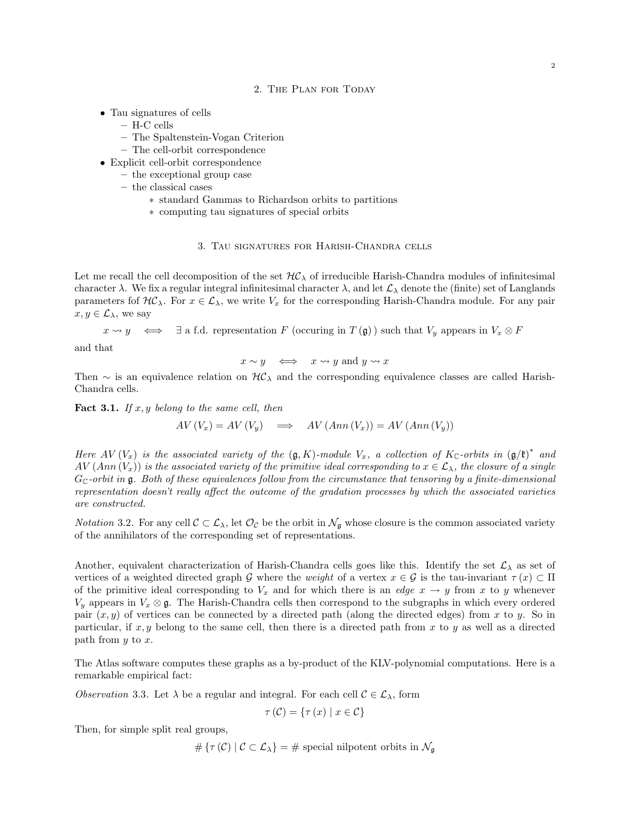#### 2. The Plan for Today

- Tau signatures of cells
	- H-C cells
	- The Spaltenstein-Vogan Criterion
	- The cell-orbit correspondence
- Explicit cell-orbit correspondence
	- the exceptional group case
	- the classical cases
		- ∗ standard Gammas to Richardson orbits to partitions
		- ∗ computing tau signatures of special orbits

# 3. Tau signatures for Harish-Chandra cells

Let me recall the cell decomposition of the set  $H\mathcal{C}_\lambda$  of irreducible Harish-Chandra modules of infinitesimal character  $\lambda$ . We fix a regular integral infinitesimal character  $\lambda$ , and let  $\mathcal{L}_{\lambda}$  denote the (finite) set of Langlands parameters fof  $H\mathcal{C}_\lambda$ . For  $x \in \mathcal{L}_\lambda$ , we write  $V_x$  for the corresponding Harish-Chandra module. For any pair  $x, y \in \mathcal{L}_{\lambda}$ , we say

 $x \rightsquigarrow y \iff \exists$  a f.d. representation F (occuring in  $T(\mathfrak{g})$ ) such that  $V_y$  appears in  $V_x \otimes F$ 

and that

$$
x \sim y \quad \Longleftrightarrow \quad x \leadsto y \text{ and } y \leadsto x
$$

Then  $\sim$  is an equivalence relation on  $H\mathcal{C}_\lambda$  and the corresponding equivalence classes are called Harish-Chandra cells.

**Fact 3.1.** If  $x, y$  belong to the same cell, then

$$
AV(V_x) = AV(V_y) \implies AV(Ann(V_x)) = AV(Ann(V_y))
$$

Here AV  $(V_x)$  is the associated variety of the  $(\mathfrak{g}, K)$ -module  $V_x$ , a collection of  $K_{\mathbb{C}}$ -orbits in  $(\mathfrak{g}/\mathfrak{k})^*$  and  $AV(Ann(V<sub>x</sub>))$  is the associated variety of the primitive ideal corresponding to  $x \in \mathcal{L}_{\lambda}$ , the closure of a single  $G_{\mathbb{C}}$ -orbit in g. Both of these equivalences follow from the circumstance that tensoring by a finite-dimensional representation doesn't really affect the outcome of the gradation processes by which the associated varieties are constructed.

*Notation* 3.2. For any cell  $\mathcal{C} \subset \mathcal{L}_{\lambda}$ , let  $\mathcal{O}_{\mathcal{C}}$  be the orbit in  $\mathcal{N}_{\mathfrak{g}}$  whose closure is the common associated variety of the annihilators of the corresponding set of representations.

Another, equivalent characterization of Harish-Chandra cells goes like this. Identify the set  $\mathcal{L}_{\lambda}$  as set of vertices of a weighted directed graph G where the *weight* of a vertex  $x \in \mathcal{G}$  is the tau-invariant  $\tau(x) \subset \Pi$ of the primitive ideal corresponding to  $V_x$  and for which there is an *edge*  $x \to y$  from x to y whenever  $V_y$  appears in  $V_x \otimes \mathfrak{g}$ . The Harish-Chandra cells then correspond to the subgraphs in which every ordered pair  $(x, y)$  of vertices can be connected by a directed path (along the directed edges) from x to y. So in particular, if  $x, y$  belong to the same cell, then there is a directed path from  $x$  to  $y$  as well as a directed path from  $y$  to  $x$ .

The Atlas software computes these graphs as a by-product of the KLV-polynomial computations. Here is a remarkable empirical fact:

Observation 3.3. Let  $\lambda$  be a regular and integral. For each cell  $\mathcal{C} \in \mathcal{L}_{\lambda}$ , form

$$
\tau(\mathcal{C}) = \{\tau(x) \mid x \in \mathcal{C}\}\
$$

Then, for simple split real groups,

$$
\#\left\{\tau\left(\mathcal{C}\right) \mid \mathcal{C}\subset \mathcal{L}_{\lambda}\right\} = \#\text{ special nilpotent orbits in }\mathcal{N}_{\mathfrak{g}}
$$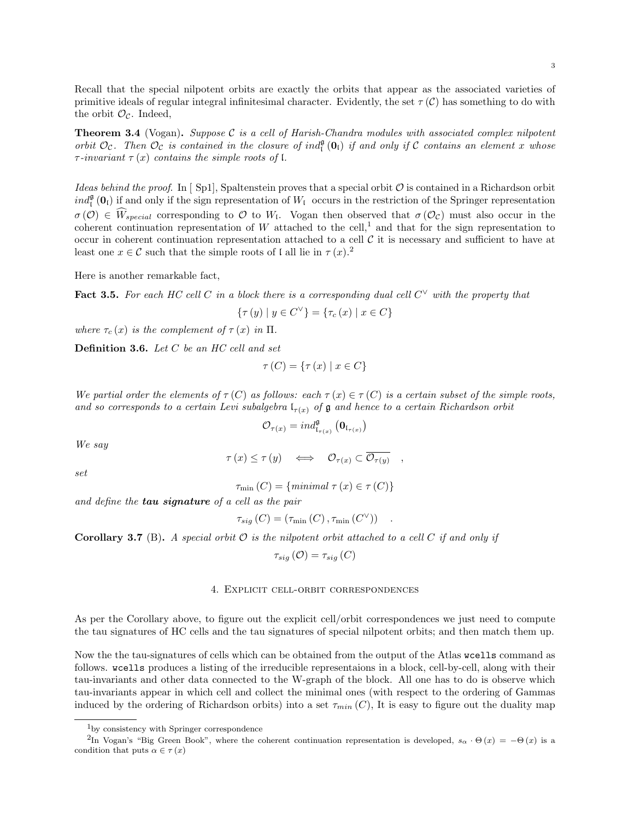Recall that the special nilpotent orbits are exactly the orbits that appear as the associated varieties of primitive ideals of regular integral infinitesimal character. Evidently, the set  $\tau(\mathcal{C})$  has something to do with the orbit  $\mathcal{O}_{\mathcal{C}}$ . Indeed,

**Theorem 3.4** (Vogan). Suppose C is a cell of Harish-Chandra modules with associated complex nilpotent orbit  $\mathcal{O}_\mathcal{C}$ . Then  $\mathcal{O}_\mathcal{C}$  is contained in the closure of ind<sub> $\mathfrak{g}(\mathbf{0}_\mathfrak{l})$ </sub> if and only if  $\mathcal C$  contains an element x whose  $\tau$ -invariant  $\tau(x)$  contains the simple roots of l.

Ideas behind the proof. In [ Sp1], Spaltenstein proves that a special orbit  $\mathcal O$  is contained in a Richardson orbit  $ind_{\mathfrak{l}}^{\mathfrak{g}}(\mathbf{0}_{\mathfrak{l}})$  if and only if the sign representation of  $W_{\mathfrak{l}}$  occurs in the restriction of the Springer representation  $\sigma(\mathcal{O}) \in W_{special}$  corresponding to  $\mathcal{O}$  to  $W_1$ . Vogan then observed that  $\sigma(\mathcal{O}_\mathcal{C})$  must also occur in the coherent continuation representation of  $W$  attached to the cell,<sup>1</sup> and that for the sign representation to occur in coherent continuation representation attached to a cell  $\mathcal C$  it is necessary and sufficient to have at least one  $x \in \mathcal{C}$  such that the simple roots of l all lie in  $\tau(x)$ .<sup>2</sup>

Here is another remarkable fact,

Fact 3.5. For each HC cell C in a block there is a corresponding dual cell  $C^{\vee}$  with the property that

$$
\{\tau(y) \mid y \in C^{\vee}\} = \{\tau_c(x) \mid x \in C\}
$$

where  $\tau_c(x)$  is the complement of  $\tau(x)$  in  $\Pi$ .

Definition 3.6. Let C be an HC cell and set

$$
\tau(C) = \{\tau(x) \mid x \in C\}
$$

We partial order the elements of  $\tau(C)$  as follows: each  $\tau(x) \in \tau(C)$  is a certain subset of the simple roots, and so corresponds to a certain Levi subalgebra  $\mathfrak{l}_{\tau(x)}$  of  $\mathfrak g$  and hence to a certain Richardson orbit

$$
\mathcal{O}_{\tau(x)} = \text{ind}_{\mathfrak{l}_{\tau(x)}}^{\mathfrak{g}} \left( \mathbf{0}_{\mathfrak{l}_{\tau(x)}} \right)
$$

We say

$$
\tau(x) \leq \tau(y) \quad \Longleftrightarrow \quad \mathcal{O}_{\tau(x)} \subset \overline{\mathcal{O}_{\tau(y)}} \quad ,
$$

set

$$
\tau_{\min}(C) = \{minimal \ \tau(x) \in \tau(C)\}\
$$

and define the **tau signature** of a cell as the pair

$$
\tau_{sig}(C) = (\tau_{\min}(C), \tau_{\min}(C^{\vee})) \quad .
$$

**Corollary 3.7** (B). A special orbit  $\mathcal O$  is the nilpotent orbit attached to a cell  $C$  if and only if

$$
\tau_{sig}\left(\mathcal{O}\right)=\tau_{sig}\left(C\right)
$$

# 4. Explicit cell-orbit correspondences

As per the Corollary above, to figure out the explicit cell/orbit correspondences we just need to compute the tau signatures of HC cells and the tau signatures of special nilpotent orbits; and then match them up.

Now the the tau-signatures of cells which can be obtained from the output of the Atlas wcells command as follows. wcells produces a listing of the irreducible representaions in a block, cell-by-cell, along with their tau-invariants and other data connected to the W-graph of the block. All one has to do is observe which tau-invariants appear in which cell and collect the minimal ones (with respect to the ordering of Gammas induced by the ordering of Richardson orbits) into a set  $\tau_{min}(C)$ , It is easy to figure out the duality map

 $\rm ^1$  by consistency with Springer correspondence

<sup>&</sup>lt;sup>2</sup>In Vogan's "Big Green Book", where the coherent continuation representation is developed,  $s_{\alpha} \cdot \Theta(x) = -\Theta(x)$  is a condition that puts  $\alpha \in \tau(x)$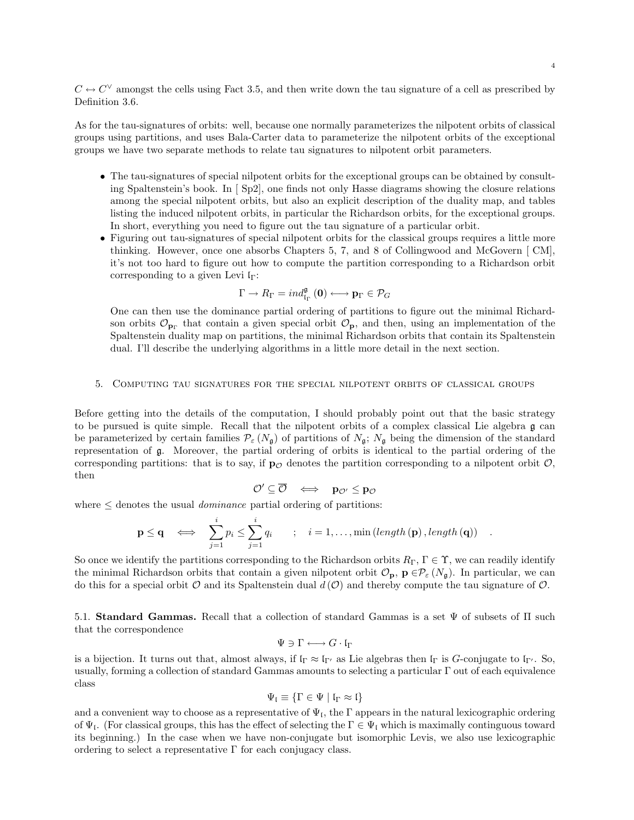$C \leftrightarrow C^{\vee}$  amongst the cells using Fact 3.5, and then write down the tau signature of a cell as prescribed by Definition 3.6.

As for the tau-signatures of orbits: well, because one normally parameterizes the nilpotent orbits of classical groups using partitions, and uses Bala-Carter data to parameterize the nilpotent orbits of the exceptional groups we have two separate methods to relate tau signatures to nilpotent orbit parameters.

- The tau-signatures of special nilpotent orbits for the exceptional groups can be obtained by consulting Spaltenstein's book. In [ Sp2], one finds not only Hasse diagrams showing the closure relations among the special nilpotent orbits, but also an explicit description of the duality map, and tables listing the induced nilpotent orbits, in particular the Richardson orbits, for the exceptional groups. In short, everything you need to figure out the tau signature of a particular orbit.
- Figuring out tau-signatures of special nilpotent orbits for the classical groups requires a little more thinking. However, once one absorbs Chapters 5, 7, and 8 of Collingwood and McGovern [ CM], it's not too hard to figure out how to compute the partition corresponding to a Richardson orbit corresponding to a given Levi  $\mathfrak{l}_{\Gamma}$ :

$$
\Gamma \to R_{\Gamma} = \text{ind}_{\text{I}_{\Gamma}}^{\mathfrak{g}}(0) \longleftrightarrow \mathbf{p}_{\Gamma} \in \mathcal{P}_{G}
$$

One can then use the dominance partial ordering of partitions to figure out the minimal Richardson orbits  $\mathcal{O}_{\mathbf{p}\Gamma}$  that contain a given special orbit  $\mathcal{O}_{\mathbf{p}}$ , and then, using an implementation of the Spaltenstein duality map on partitions, the minimal Richardson orbits that contain its Spaltenstein dual. I'll describe the underlying algorithms in a little more detail in the next section.

#### 5. Computing tau signatures for the special nilpotent orbits of classical groups

Before getting into the details of the computation, I should probably point out that the basic strategy to be pursued is quite simple. Recall that the nilpotent orbits of a complex classical Lie algebra g can be parameterized by certain families  $\mathcal{P}_{\varepsilon} (N_{\mathfrak{g}})$  of partitions of  $N_{\mathfrak{g}}$ ;  $N_{\mathfrak{g}}$  being the dimension of the standard representation of g. Moreover, the partial ordering of orbits is identical to the partial ordering of the corresponding partitions: that is to say, if  $\mathbf{p}_{\mathcal{O}}$  denotes the partition corresponding to a nilpotent orbit  $\mathcal{O}$ , then

$$
\mathcal{O}' \subseteq \overline{\mathcal{O}} \quad \Longleftrightarrow \quad \mathbf{p}_{\mathcal{O}'} \leq \mathbf{p}_{\mathcal{O}}
$$

where  $\leq$  denotes the usual *dominance* partial ordering of partitions:

$$
\mathbf{p} \leq \mathbf{q} \quad \Longleftrightarrow \quad \sum_{j=1}^{i} p_i \leq \sum_{j=1}^{i} q_i \qquad ; \quad i = 1, \dots, \min\left( \text{length}\left(\mathbf{p}\right), \text{length}\left(\mathbf{q}\right) \right) \quad .
$$

So once we identify the partitions corresponding to the Richardson orbits  $R_{\Gamma}$ ,  $\Gamma \in \Upsilon$ , we can readily identify the minimal Richardson orbits that contain a given nilpotent orbit  $\mathcal{O}_p$ ,  $p \in \mathcal{P}_{\varepsilon}(N_g)$ . In particular, we can do this for a special orbit  $\mathcal O$  and its Spaltenstein dual  $d(\mathcal O)$  and thereby compute the tau signature of  $\mathcal O$ .

5.1. Standard Gammas. Recall that a collection of standard Gammas is a set  $\Psi$  of subsets of  $\Pi$  such that the correspondence

$$
\Psi \ni \Gamma \longleftrightarrow G \cdot \mathfrak{l}_\Gamma
$$

is a bijection. It turns out that, almost always, if  $\mathfrak{lr} \approx \mathfrak{lr}'$  as Lie algebras then  $\mathfrak{lr}'$  is G-conjugate to  $\mathfrak{lr}'$ . So, usually, forming a collection of standard Gammas amounts to selecting a particular Γ out of each equivalence class

$$
\Psi_{\mathfrak{l}}\equiv \{\Gamma\in \Psi\mid \mathfrak{l}_\Gamma\approx \mathfrak{l}\}
$$

and a convenient way to choose as a representative of  $\Psi_{\mathfrak{l}}$ , the  $\Gamma$  appears in the natural lexicographic ordering of  $\Psi_{\mathfrak{l}}$ . (For classical groups, this has the effect of selecting the  $\Gamma \in \Psi_{\mathfrak{l}}$  which is maximally continguous toward its beginning.) In the case when we have non-conjugate but isomorphic Levis, we also use lexicographic ordering to select a representative  $\Gamma$  for each conjugacy class.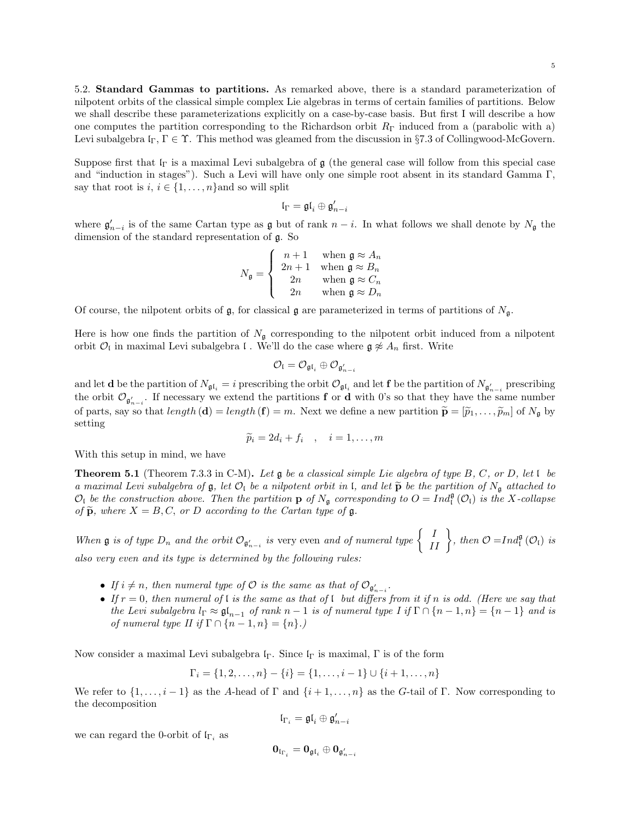5.2. Standard Gammas to partitions. As remarked above, there is a standard parameterization of nilpotent orbits of the classical simple complex Lie algebras in terms of certain families of partitions. Below we shall describe these parameterizations explicitly on a case-by-case basis. But first I will describe a how one computes the partition corresponding to the Richardson orbit  $R_{\Gamma}$  induced from a (parabolic with a) Levi subalgebra  $\mathfrak{l}_{\Gamma}, \Gamma \in \Upsilon$ . This method was gleamed from the discussion in §7.3 of Collingwood-McGovern.

Suppose first that  $I_{\Gamma}$  is a maximal Levi subalgebra of g (the general case will follow from this special case and "induction in stages"). Such a Levi will have only one simple root absent in its standard Gamma Γ, say that root is  $i, i \in \{1, \ldots, n\}$  and so will split

$$
\mathfrak{l}_\Gamma=\mathfrak{gl}_i\oplus\mathfrak{g}_{n-i}'
$$

where  $\mathfrak{g}'_{n-i}$  is of the same Cartan type as  $\mathfrak g$  but of rank  $n-i$ . In what follows we shall denote by  $N_{\mathfrak g}$  the dimension of the standard representation of g. So

$$
N_{\mathfrak{g}} = \left\{ \begin{array}{cc} n+1 & \text{when } \mathfrak{g} \approx A_n \\ 2n+1 & \text{when } \mathfrak{g} \approx B_n \\ 2n & \text{when } \mathfrak{g} \approx C_n \\ 2n & \text{when } \mathfrak{g} \approx D_n \end{array} \right.
$$

Of course, the nilpotent orbits of  $\mathfrak{g}$ , for classical g are parameterized in terms of partitions of  $N_{\mathfrak{g}}$ .

Here is how one finds the partition of  $N_{\mathfrak{g}}$  corresponding to the nilpotent orbit induced from a nilpotent orbit  $\mathcal{O}_\mathfrak{l}$  in maximal Levi subalgebra  $\mathfrak{l}$  . We'll do the case where  $\mathfrak{g} \not\approx A_n$  first. Write

$$
\mathcal{O}_{\mathfrak{l}}=\mathcal{O}_{\mathfrak{gl}_{i}}\oplus \mathcal{O}_{\mathfrak{g}_{n-i}'}
$$

and let **d** be the partition of  $N_{\mathfrak{gl}_i} = i$  prescribing the orbit  $\mathcal{O}_{\mathfrak{gl}_i}$  and let **f** be the partition of  $N_{\mathfrak{g}'_{n-i}}$  prescribing the orbit  $\mathcal{O}_{\mathfrak{g}'_{n-i}}$ . If necessary we extend the partitions **f** or **d** with 0's so that they have the same number of parts, say so that  $length(\mathbf{d}) = length(\mathbf{f}) = m$ . Next we define a new partition  $\tilde{\mathbf{p}} = [\tilde{p}_1, \dots, \tilde{p}_m]$  of  $N_{\mathfrak{g}}$  by setting

$$
\widetilde{p}_i = 2d_i + f_i \quad , \quad i = 1, \dots, m
$$

With this setup in mind, we have

**Theorem 5.1** (Theorem 7.3.3 in C-M). Let  $\mathfrak{g}$  be a classical simple Lie algebra of type B, C, or D, let  $\mathfrak{l}$  be a maximal Levi subalgebra of  $\mathfrak{g}$ , let  $\mathcal{O}_1$  be a nilpotent orbit in l, and let  $\widetilde{\mathbf{p}}$  be the partition of  $N_{\mathfrak{g}}$  attached to  $\mathcal{O}_I$  be the construction above. Then the partition **p** of  $N_{\mathfrak{g}}$  corresponding to  $O = Ind_I^{\mathfrak{g}}(\mathcal{O}_I)$  is the X-collapse of  $\widetilde{\mathbf{p}}$ , where  $X = B, C$ , or D according to the Cartan type of  $\mathfrak{g}$ .

When  $\mathfrak g$  is of type  $D_n$  and the orbit  $\mathcal O_{\mathfrak g'_{n-i}}$  is very even and of numeral type  $\left\{\begin{array}{c} I \quad I \end{array}\right\}$ , then  $\mathcal O = Ind_{\mathfrak l}^{\mathfrak g}(\mathcal O_{\mathfrak l})$  is also very even and its type is determined by the following rules:

- If  $i \neq n$ , then numeral type of  $\mathcal O$  is the same as that of  $\mathcal O_{\mathfrak{g}'_{n-i}}$ .
- If  $r = 0$ , then numeral of l is the same as that of l but differs from it if n is odd. (Here we say that the Levi subalgebra  $l_{\Gamma} \approx \mathfrak{gl}_{n-1}$  of rank  $n-1$  is of numeral type I if  $\Gamma \cap \{n-1, n\} = \{n-1\}$  and is of numeral type II if  $\Gamma \cap \{n-1, n\} = \{n\}$ .)

Now consider a maximal Levi subalgebra  $I_{\Gamma}$ . Since  $I_{\Gamma}$  is maximal,  $\Gamma$  is of the form

$$
\Gamma_i = \{1, 2, \dots, n\} - \{i\} = \{1, \dots, i-1\} \cup \{i+1, \dots, n\}
$$

We refer to  $\{1,\ldots,i-1\}$  as the A-head of  $\Gamma$  and  $\{i+1,\ldots,n\}$  as the G-tail of  $\Gamma$ . Now corresponding to the decomposition

$$
\mathfrak{l}_{\Gamma_i}=\mathfrak{gl}_i\oplus \mathfrak{g}'_{n-i}
$$

we can regard the 0-orbit of  $I_{\Gamma_i}$  as

$$
\mathbf 0_{\mathfrak{l}_{\Gamma_i}} = \mathbf 0_{\mathfrak{gl}_i} \oplus \mathbf 0_{\mathfrak{g}'_{n-i}}
$$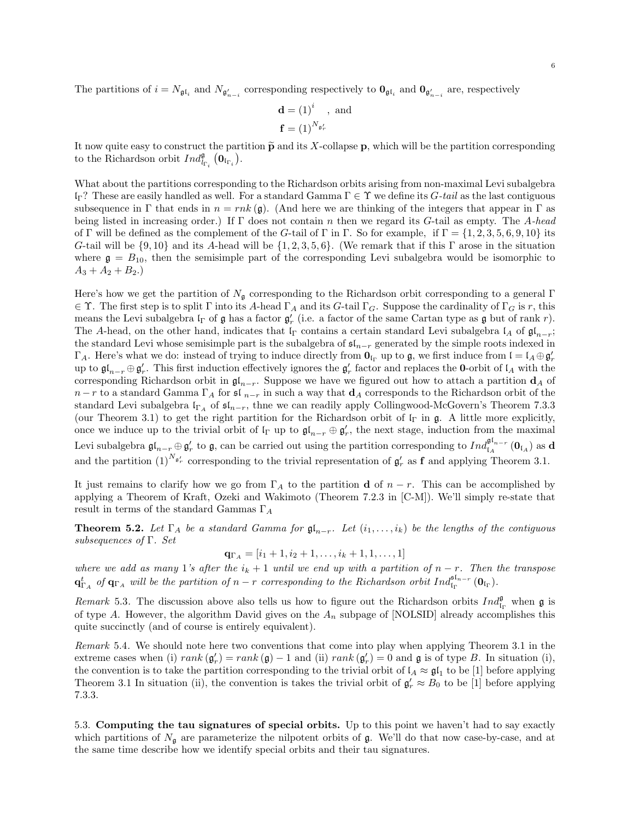The partitions of  $i = N_{\mathfrak{gl}_i}$  and  $N_{\mathfrak{g}'_{n-i}}$  corresponding respectively to  $\mathbf{0}_{\mathfrak{gl}_i}$  and  $\mathbf{0}_{\mathfrak{g}'_{n-i}}$  are, respectively

$$
\mathbf{d} = (1)^i \text{, and}
$$

$$
\mathbf{f} = (1)^{N_{\mathfrak{g}'_r}}
$$

It now quite easy to construct the partition  $\tilde{p}$  and its X-collapse p, which will be the partition corresponding to the Richardson orbit  $Ind_{l_{\Gamma_i}}^{\mathfrak{g}}(\mathbf{0}_{\mathfrak{i}_{\Gamma_i}})$ .

What about the partitions corresponding to the Richardson orbits arising from non-maximal Levi subalgebra lΓ? These are easily handled as well. For a standard Gamma Γ ∈ Υ we define its G-tail as the last contiguous subsequence in  $\Gamma$  that ends in  $n = r n k (\mathfrak{g})$ . (And here we are thinking of the integers that appear in  $\Gamma$  as being listed in increasing order.) If  $\Gamma$  does not contain n then we regard its G-tail as empty. The A-head of Γ will be defined as the complement of the G-tail of Γ in Γ. So for example, if  $\Gamma = \{1, 2, 3, 5, 6, 9, 10\}$  its G-tail will be  $\{9, 10\}$  and its A-head will be  $\{1, 2, 3, 5, 6\}$ . (We remark that if this Γ arose in the situation where  $\mathfrak{g} = B_{10}$ , then the semisimple part of the corresponding Levi subalgebra would be isomorphic to  $A_3 + A_2 + B_2.$ 

Here's how we get the partition of  $N_g$  corresponding to the Richardson orbit corresponding to a general Γ  $\in \Upsilon$ . The first step is to split  $\Gamma$  into its A-head  $\Gamma_A$  and its G-tail  $\Gamma_G$ . Suppose the cardinality of  $\Gamma_G$  is r, this means the Levi subalgebra  $I_{\Gamma}$  of  $\mathfrak g$  has a factor  $\mathfrak g'_r$  (i.e. a factor of the same Cartan type as  $\mathfrak g$  but of rank  $r$ ). The A-head, on the other hand, indicates that  $\mathfrak{l}_\Gamma$  contains a certain standard Levi subalgebra  $\mathfrak{l}_A$  of  $\mathfrak{gl}_{n-r}$ ; the standard Levi whose semisimple part is the subalgebra of  $\mathfrak{sl}_{n-r}$  generated by the simple roots indexed in  $\Gamma_A$ . Here's what we do: instead of trying to induce directly from  $\mathbf{0}_{\mathfrak{l}_\Gamma}$  up to  $\mathfrak{g}$ , we first induce from  $\mathfrak{l} = \mathfrak{l}_A \oplus \mathfrak{g}'_r$ up to  $\mathfrak{gl}_{n-r}\oplus \mathfrak{g}'_r$ . This first induction effectively ignores the  $\mathfrak{g}'_r$  factor and replaces the **0**-orbit of  $\mathfrak{l}_A$  with the corresponding Richardson orbit in  $\mathfrak{gl}_{n-r}$ . Suppose we have we figured out how to attach a partition  $\mathbf{d}_A$  of  $n - r$  to a standard Gamma  $\Gamma_A$  for sl  $_{n-r}$  in such a way that  $\mathbf{d}_A$  corresponds to the Richardson orbit of the standard Levi subalgebra  $\mathfrak{lr}_A$  of  $\mathfrak{sl}_{n-r}$ , thne we can readily apply Collingwood-McGovern's Theorem 7.3.3 (our Theorem 3.1) to get the right partition for the Richardson orbit of  $\Gamma$  in g. A little more explicitly, once we induce up to the trivial orbit of  $\mathfrak{lr}$  up to  $\mathfrak{gl}_{n-r} \oplus \mathfrak{gl}_r'$ , the next stage, induction from the maximal Levi subalgebra  $\mathfrak{gl}_{n-r} \oplus \mathfrak{g}'_r$  to  $\mathfrak{g}$ , can be carried out using the partition corresponding to  $Ind_{\mathfrak{l}_A}^{\mathfrak{gl}_{n-r}}(\mathbf{0}_{\mathfrak{l}_A})$  as d and the partition  $(1)^{N_{\mathfrak{g}'_r}}$  corresponding to the trivial representation of  $\mathfrak{g}'_r$  as **f** and applying Theorem 3.1.

It just remains to clarify how we go from  $\Gamma_A$  to the partition **d** of  $n-r$ . This can be accomplished by applying a Theorem of Kraft, Ozeki and Wakimoto (Theorem 7.2.3 in [C-M]). We'll simply re-state that result in terms of the standard Gammas  $\Gamma_A$ 

**Theorem 5.2.** Let  $\Gamma_A$  be a standard Gamma for  $\mathfrak{gl}_{n-r}$ . Let  $(i_1,\ldots,i_k)$  be the lengths of the contiguous subsequences of Γ. Set

$$
\mathbf{q}_{\Gamma_A} = [i_1 + 1, i_2 + 1, \dots, i_k + 1, 1, \dots, 1]
$$

where we add as many 1's after the  $i_k + 1$  until we end up with a partition of  $n - r$ . Then the transpose  $\mathbf{q}_{\Gamma_A}^{t}$  of  $\mathbf{q}_{\Gamma_A}$  will be the partition of  $n-r$  corresponding to the Richardson orbit  $Ind_{\mathfrak{l}_\Gamma}^{\mathfrak{sl}_{n-r}}(\mathbf{0}_{\mathfrak{l}_\Gamma}).$ 

Remark 5.3. The discussion above also tells us how to figure out the Richardson orbits  $Ind_{\mathfrak{l}_\Gamma}^{\mathfrak{g}}$  when  $\mathfrak{g}$  is of type A. However, the algorithm David gives on the  $A_n$  subpage of [NOLSID] already accomplishes this quite succinctly (and of course is entirely equivalent).

Remark 5.4. We should note here two conventions that come into play when applying Theorem 3.1 in the extreme cases when (i)  $rank(\mathfrak{g}'_r) = rank(\mathfrak{g}) - 1$  and (ii)  $rank(\mathfrak{g}'_r) = 0$  and  $\mathfrak{g}$  is of type B. In situation (i), the convention is to take the partition corresponding to the trivial orbit of  $\mathfrak{l}_A \approx \mathfrak{gl}_1$  to be [1] before applying Theorem 3.1 In situation (ii), the convention is takes the trivial orbit of  $\mathfrak{g}'_r \approx B_0$  to be [1] before applying 7.3.3.

5.3. Computing the tau signatures of special orbits. Up to this point we haven't had to say exactly which partitions of  $N_{\mathfrak{g}}$  are parameterize the nilpotent orbits of  $\mathfrak{g}$ . We'll do that now case-by-case, and at the same time describe how we identify special orbits and their tau signatures.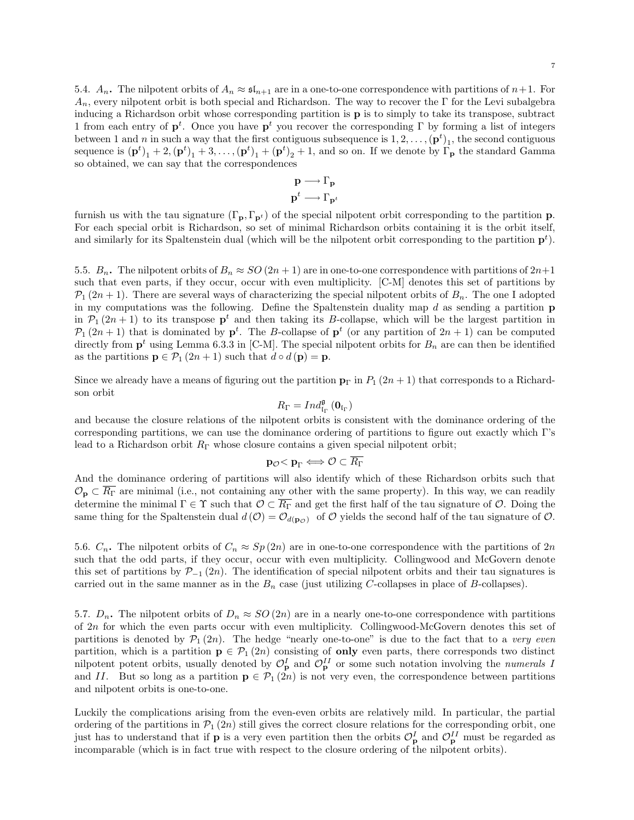5.4.  $A_n$ . The nilpotent orbits of  $A_n \approx \mathfrak{s}I_{n+1}$  are in a one-to-one correspondence with partitions of  $n+1$ . For  $A_n$ , every nilpotent orbit is both special and Richardson. The way to recover the Γ for the Levi subalgebra inducing a Richardson orbit whose corresponding partition is p is to simply to take its transpose, subtract 1 from each entry of  $p^t$ . Once you have  $p^t$  you recover the corresponding  $\Gamma$  by forming a list of integers between 1 and *n* in such a way that the first contiguous subsequence is  $1, 2, \ldots, (\mathbf{p}^t)_1$ , the second contiguous sequence is  $(\mathbf{p}^t)_1 + 2, (\mathbf{p}^t)_1 + 3, \ldots, (\mathbf{p}^t)_1 + (\mathbf{p}^t)_2 + 1$ , and so on. If we denote by  $\overline{\Gamma}_{\mathbf{p}}$  the standard Gamma so obtained, we can say that the correspondences

$$
\mathbf{p} \longrightarrow \Gamma_{\mathbf{p}}
$$
  

$$
\mathbf{p}^t \longrightarrow \Gamma_{\mathbf{p}^t}
$$

furnish us with the tau signature  $(\Gamma_{\mathbf{p}}, \Gamma_{\mathbf{p}^t})$  of the special nilpotent orbit corresponding to the partition **p**. For each special orbit is Richardson, so set of minimal Richardson orbits containing it is the orbit itself, and similarly for its Spaltenstein dual (which will be the nilpotent orbit corresponding to the partition  $p<sup>t</sup>$ ).

5.5.  $B_n$ . The nilpotent orbits of  $B_n \approx SO(2n+1)$  are in one-to-one correspondence with partitions of  $2n+1$ such that even parts, if they occur, occur with even multiplicity. [C-M] denotes this set of partitions by  $\mathcal{P}_1(2n+1)$ . There are several ways of characterizing the special nilpotent orbits of  $B_n$ . The one I adopted in my computations was the following. Define the Spaltenstein duality map  $d$  as sending a partition  $p$ in  $P_1(2n+1)$  to its transpose  $p^t$  and then taking its B-collapse, which will be the largest partition in  $P_1(2n+1)$  that is dominated by  $p^t$ . The B-collapse of  $p^t$  (or any partition of  $2n+1$ ) can be computed directly from  $p^t$  using Lemma 6.3.3 in [C-M]. The special nilpotent orbits for  $B_n$  are can then be identified as the partitions  $\mathbf{p} \in \mathcal{P}_1(2n+1)$  such that  $d \circ d(\mathbf{p}) = \mathbf{p}$ .

Since we already have a means of figuring out the partition  $\mathbf{p}_{\Gamma}$  in  $P_1$  (2n + 1) that corresponds to a Richardson orbit

$$
\textbf{R}_{\Gamma}=\textbf{Ind}_{\textbf{I}_{\Gamma}}^{\mathfrak{g}}\left(\textbf{0}_{\textbf{I}_{\Gamma}}\right)
$$

and because the closure relations of the nilpotent orbits is consistent with the dominance ordering of the corresponding partitions, we can use the dominance ordering of partitions to figure out exactly which Γ's lead to a Richardson orbit  $R_{\Gamma}$  whose closure contains a given special nilpotent orbit;

$$
\mathbf{p}_{\mathcal{O}}\mathbb{
$$

And the dominance ordering of partitions will also identify which of these Richardson orbits such that  $\mathcal{O}_p \subset \overline{R}_{\Gamma}$  are minimal (i.e., not containing any other with the same property). In this way, we can readily determine the minimal  $\Gamma \in \Upsilon$  such that  $\mathcal{O} \subset \overline{R_{\Gamma}}$  and get the first half of the tau signature of  $\mathcal{O}$ . Doing the same thing for the Spaltenstein dual  $d(\mathcal{O}) = \mathcal{O}_{d(p_{\mathcal{O}})}$  of  $\mathcal O$  yields the second half of the tau signature of  $\mathcal O$ .

5.6.  $C_n$ . The nilpotent orbits of  $C_n \approx Sp(2n)$  are in one-to-one correspondence with the partitions of  $2n$ such that the odd parts, if they occur, occur with even multiplicity. Collingwood and McGovern denote this set of partitions by  $\mathcal{P}_{-1}(2n)$ . The identification of special nilpotent orbits and their tau signatures is carried out in the same manner as in the  $B_n$  case (just utilizing C-collapses in place of B-collapses).

5.7.  $D_n$ . The nilpotent orbits of  $D_n \approx SO(2n)$  are in a nearly one-to-one correspondence with partitions of 2n for which the even parts occur with even multiplicity. Collingwood-McGovern denotes this set of partitions is denoted by  $\mathcal{P}_1(2n)$ . The hedge "nearly one-to-one" is due to the fact that to a very even partition, which is a partition  $p \in \mathcal{P}_1(2n)$  consisting of only even parts, there corresponds two distinct nilpotent potent orbits, usually denoted by  $\mathcal{O}_{\mathbf{p}}^I$  and  $\mathcal{O}_{\mathbf{p}}^{II}$  or some such notation involving the *numerals* I and II. But so long as a partition  $p \in \mathcal{P}_1(2n)$  is not very even, the correspondence between partitions and nilpotent orbits is one-to-one.

Luckily the complications arising from the even-even orbits are relatively mild. In particular, the partial ordering of the partitions in  $\mathcal{P}_1(2n)$  still gives the correct closure relations for the corresponding orbit, one just has to understand that if **p** is a very even partition then the orbits  $\mathcal{O}_p^I$  and  $\mathcal{O}_p^{II}$  must be regarded as incomparable (which is in fact true with respect to the closure ordering of the nilpotent orbits).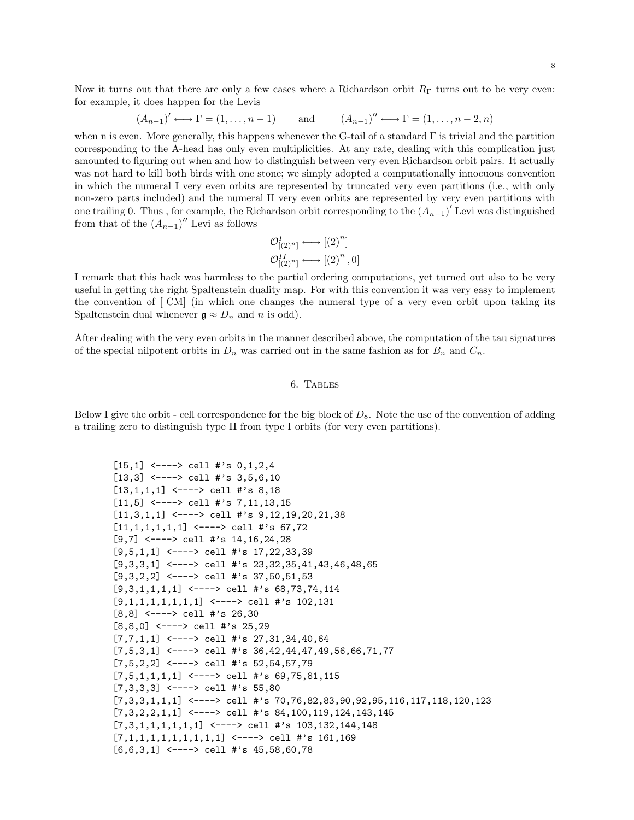Now it turns out that there are only a few cases where a Richardson orbit  $R_{\Gamma}$  turns out to be very even: for example, it does happen for the Levis

$$
(A_{n-1})' \longleftrightarrow \Gamma = (1, ..., n-1)
$$
 and  $(A_{n-1})'' \longleftrightarrow \Gamma = (1, ..., n-2, n)$ 

when n is even. More generally, this happens whenever the G-tail of a standard  $\Gamma$  is trivial and the partition corresponding to the A-head has only even multiplicities. At any rate, dealing with this complication just amounted to figuring out when and how to distinguish between very even Richardson orbit pairs. It actually was not hard to kill both birds with one stone; we simply adopted a computationally innocuous convention in which the numeral I very even orbits are represented by truncated very even partitions (i.e., with only non-zero parts included) and the numeral II very even orbits are represented by very even partitions with one trailing 0. Thus , for example, the Richardson orbit corresponding to the  $(A_{n-1})'$  Levi was distinguished from that of the  $(A_{n-1})''$  Levi as follows

$$
\mathcal{O}^I_{[(2)^n]} \longleftrightarrow [(2)^n]
$$

$$
\mathcal{O}^{II}_{[(2)^n]} \longleftrightarrow [(2)^n, 0]
$$

I remark that this hack was harmless to the partial ordering computations, yet turned out also to be very useful in getting the right Spaltenstein duality map. For with this convention it was very easy to implement the convention of [ CM] (in which one changes the numeral type of a very even orbit upon taking its Spaltenstein dual whenever  $\mathfrak{g} \approx D_n$  and n is odd).

After dealing with the very even orbits in the manner described above, the computation of the tau signatures of the special nilpotent orbits in  $D_n$  was carried out in the same fashion as for  $B_n$  and  $C_n$ .

#### 6. Tables

Below I give the orbit - cell correspondence for the big block of  $D_8$ . Note the use of the convention of adding a trailing zero to distinguish type II from type I orbits (for very even partitions).

```
[15,1] <----> cell #'s 0,1,2,4[13,3] <----> cell #'s 3,5,6,10
[13,1,1,1] <----> cell #'s 8,18
[11,5] <----> cell #'s 7,11,13,15
[11,3,1,1] <----> cell #'s 9,12,19,20,21,38
[11,1,1,1,1,1] <----> cell #'s 67,72
[9,7] <----> cell #'s 14,16,24,28
[9,5,1,1] <----> cell #'s 17,22,33,39
[9,3,3,1] <----> cell #'s 23,32,35,41,43,46,48,65
[9,3,2,2] <----> cell #'s 37,50,51,53
[9,3,1,1,1,1] <----> cell #'s 68,73,74,114
[9,1,1,1,1,1,1,1] <----> cell #'s 102,131
[8,8] <----> cell #'s 26,30
[8,8,0] <----> cell #'s 25,29
[7,7,1,1] <----> cell #'s 27,31,34,40,64
[7,5,3,1] <---> cell #'s 36,42,44,47,49,56,66,71,77
[7,5,2,2] <----> cell #'s 52,54,57,79
[7,5,1,1,1,1] <----> cell #'s 69,75,81,115
[7,3,3,3] <----> cell #'s 55,80
[7,3,3,1,1,1] <----> cell #'s 70,76,82,83,90,92,95,116,117,118,120,123
[7,3,2,2,1,1] <----> cell #'s 84,100,119,124,143,145
[7,3,1,1,1,1,1,1] <----> cell #'s 103,132,144,148
[7,1,1,1,1,1,1,1,1,1] <----> cell #'s 161,169
[6,6,3,1] <----> cell #'s 45,58,60,78
```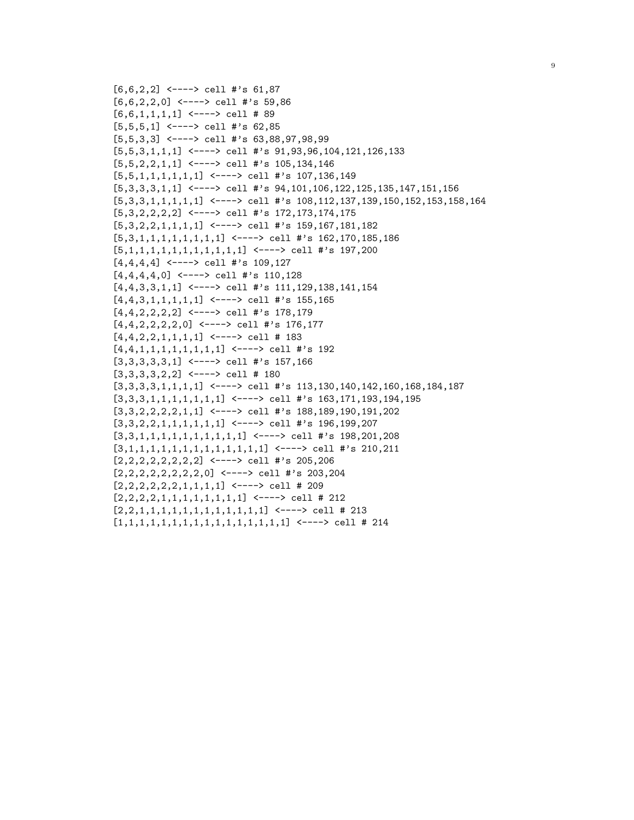```
[6,6,2,2] <----> cell #'s 61,87
[6,6,2,2,0] <----> cell #'s 59,86
[6,6,1,1,1,1] <----> cell # 89
[5,5,5,1] <----> cell #'s 62,85
[5,5,3,3] <----> cell #'s 63,88,97,98,99
[5,5,3,1,1,1] <----> cell #'s 91,93,96,104,121,126,133
[5,5,2,2,1,1] <----> cell #'s 105,134,146
[5,5,1,1,1,1,1,1] <----> cell #'s 107,136,149
[5,3,3,3,1,1] <----> cell #'s 94,101,106,122,125,135,147,151,156
[5,3,3,1,1,1,1,1] <---> cell #'s 108,112,137,139,150,152,153,158,164[5,3,2,2,2,2] <----> cell #'s 172,173,174,175
[5,3,2,2,1,1,1,1] <----> cell #'s 159,167,181,182
[5,3,1,1,1,1,1,1,1,1] <----> cell #'s 162,170,185,186
[5,1,1,1,1,1,1,1,1,1,1,1] <----> cell #'s 197,200
[4,4,4,4] <----> cell #'s 109,127
[4,4,4,4,0] <----> cell #'s 110,128
[4,4,3,3,1,1] <---> cell #'s 111,129,138,141,154
[4,4,3,1,1,1,1,1] <----> cell #'s 155,165
[4,4,2,2,2,2] <----> cell #'s 178,179
[4,4,2,2,2,2,0] <----> cell #'s 176,177
[4,4,2,2,1,1,1,1] <----> cell # 183
[4,4,1,1,1,1,1,1,1,1,1] <----> cell #'s 192
[3,3,3,3,3,1] <----> cell #'s 157,166
[3,3,3,3,2,2] <----> cell # 180
[3,3,3,3,1,1,1,1] <---> cell #'s 113,130,140,142,160,168,184,187
[3,3,3,1,1,1,1,1,1,1] <---> cell #'s 163,171,193,194,195[3,3,2,2,2,2,1,1] <----> cell #'s 188,189,190,191,202
[3,3,2,2,1,1,1,1,1,1] <----> cell #'s 196,199,207
[3,3,1,1,1,1,1,1,1,1,1,1] <----> cell #'s 198,201,208
[3,1,1,1,1,1,1,1,1,1,1,1,1,1] <----> cell #'s 210,211
[2,2,2,2,2,2,2,2] <----> cell #'s 205,206
[2,2,2,2,2,2,2,2,0] <----> cell #'s 203,204
[2,2,2,2,2,2,1,1,1,1] <----> cell # 209
[2,2,2,2,1,1,1,1,1,1,1,1] <----> cell # 212
[2,2,1,1,1,1,1,1,1,1,1,1,1,1] <----> cell # 213
[1,1,1,1,1,1,1,1,1,1,1,1,1,1,1,1] <----> cell # 214
```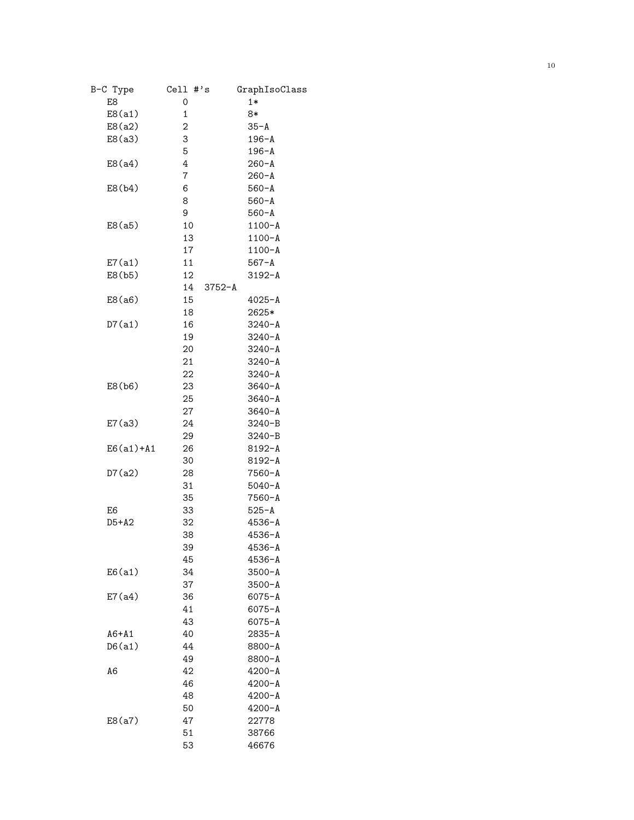| B-C Type      | $Cell$ #'s | GraphIsoClass |
|---------------|------------|---------------|
| E8            | 0          | $1*$          |
| E8(a1)        | 1          | 8*            |
| E8(a2)        | 2          | $35 - A$      |
| E8(a3)        | 3          | $196 - A$     |
|               | 5          | $196 - A$     |
| E8(a4)        | 4          | $260 - A$     |
|               | 7          | $260 - A$     |
| E8(b4)        | 6          | $560 - A$     |
|               | 8          | $560 - A$     |
|               | 9          | $560 - A$     |
| E8(a5)        | 10         | $1100 - A$    |
|               | 13         | $1100 - A$    |
|               | 17         | $1100 - A$    |
| E7(a1)        | 11         | $567 - A$     |
| E8(b5)        | 12         | $3192 - A$    |
|               | 14         | $3752 - A$    |
| E8(a6)        | 15         | $4025 - A$    |
|               | 18         | 2625*         |
| D7(a1)        | 16         | $3240 - A$    |
|               | 19         | $3240 - A$    |
|               | 20         | $3240 - A$    |
|               | 21         | $3240 - A$    |
|               | 22         | $3240 - A$    |
| E8(b6)        | 23         | $3640 - A$    |
|               | 25         | $3640 - A$    |
|               | 27         | $3640 - A$    |
| E7(a3)        | 24         | $3240 - B$    |
|               | 29         | $3240 - B$    |
| $E6(a1) + A1$ | 26         | $8192 - A$    |
|               | 30         | $8192 - A$    |
| D7(a2)        | 28         | $7560 - A$    |
|               | 31         | $5040 - A$    |
|               | 35         | $7560 - A$    |
| E6            | 33         | $525 - A$     |
| $D5+A2$       | 32         | $4536 - A$    |
|               | 38         | $4536 - A$    |
|               | 39         | $4536 - A$    |
|               | 45         | $4536 - A$    |
| E6(a1)        | 34         | $3500 - A$    |
|               | 37         | $3500 - A$    |
| E7(a4)        | 36         | $6075 - A$    |
|               | 41         | $6075 - A$    |
|               | 43         | $6075 - A$    |
| $A6+A1$       | 40         | $2835 - A$    |
| D6(a1)        | 44         | $8800 - A$    |
|               | 49         | 8800-A        |
| A6            | 42         | $4200 - A$    |
|               | 46         | $4200 - A$    |
|               | 48         | $4200 - A$    |
|               | 50         | $4200 - A$    |
| E8(a7)        | 47         | 22778         |
|               | 51         | 38766         |
|               | 53         | 46676         |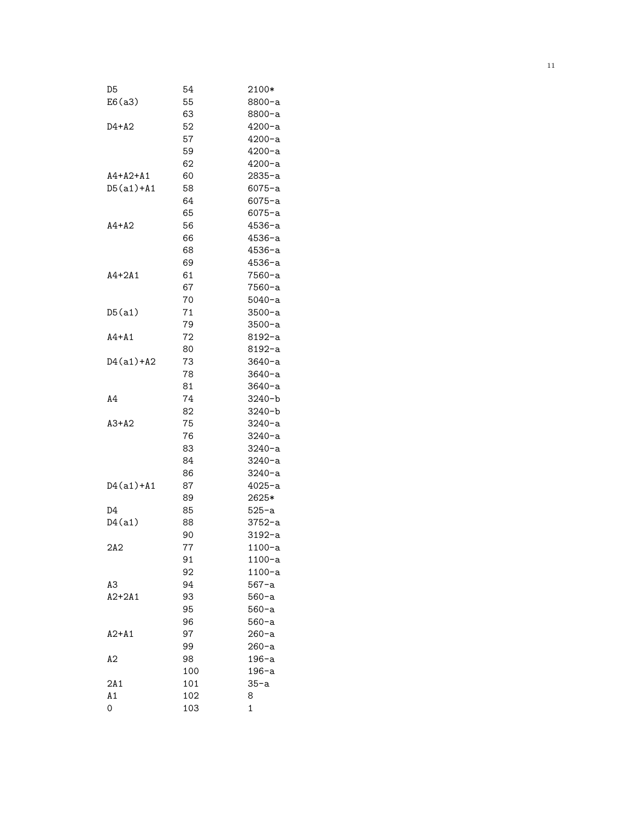| D5            | 54  | 2100*        |
|---------------|-----|--------------|
| E6(a3)        | 55  | 8800-a       |
|               | 63  | 8800-a       |
| D4+A2         | 52  | 4200-a       |
|               | 57  | $4200 - a$   |
|               | 59  | $4200 - a$   |
|               | 62  | $4200 - a$   |
| A4+A2+A1      | 60  | 2835-a       |
| D5(a1)+A1     | 58  | 6075-a       |
|               | 64  | 6075-a       |
|               | 65  | $6075 - a$   |
| $A4+A2$       | 56  | 4536-a       |
|               | 66  | $4536 - a$   |
|               | 68  | $4536 - a$   |
|               | 69  | 4536-a       |
| $A4+2A1$      | 61  | 7560-a       |
|               | 67  | 7560-a       |
|               | 70  | $5040 - a$   |
| D5(a1)        | 71  |              |
|               |     | 3500-a       |
|               | 79  | 3500-a       |
| A4+A1         | 72  | 8192-a       |
|               | 80  | 8192-a       |
| $D4(a1) + A2$ | 73  | $3640 - a$   |
|               | 78  | $3640 - a$   |
|               | 81  | $3640 - a$   |
| A4            | 74  | $3240 - b$   |
|               | 82  | $3240 - b$   |
| $A3+A2$       | 75  | 3240-a       |
|               | 76  | 3240-a       |
|               | 83  | 3240-a       |
|               | 84  | 3240-a       |
|               | 86  | 3240-a       |
| $D4(a1) + A1$ | 87  | 4025-a       |
|               | 89  | 2625*        |
| D4            | 85  | 525-a        |
| D4(a1)        | 88  | 3752-a       |
|               | 90  | $3192 - a$   |
| 2A2           | 77  | 1100-a       |
|               | 91  | 1100-a       |
|               | 92  | $1100-a$     |
| AЗ            | 94  | 567-a        |
| $A2+2A1$      | 93  | $560 - a$    |
|               | 95  | $560 - a$    |
|               | 96  | $560 - a$    |
| $A2+A1$       | 97  | 260-a        |
|               | 99  | 260-a        |
| А2            | 98  | 196-a        |
|               | 100 | 196-a        |
| 2A1           | 101 | 35-a         |
| Α1            | 102 | 8            |
| 0             | 103 | $\mathbf{1}$ |
|               |     |              |